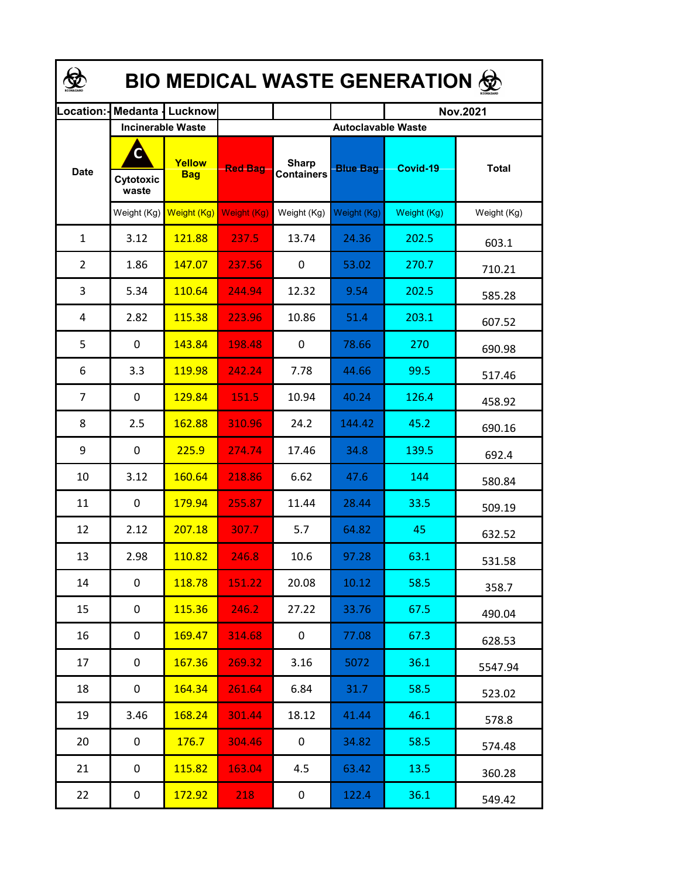| <b>BIO MEDICAL WASTE GENERATION ©</b> |                          |                          |                           |                                   |                 |                 |              |  |  |  |
|---------------------------------------|--------------------------|--------------------------|---------------------------|-----------------------------------|-----------------|-----------------|--------------|--|--|--|
| Location:                             |                          | <b>Medanta   Lucknow</b> |                           |                                   |                 | <b>Nov.2021</b> |              |  |  |  |
|                                       | <b>Incinerable Waste</b> |                          | <b>Autoclavable Waste</b> |                                   |                 |                 |              |  |  |  |
| <b>Date</b>                           | C<br>Cytotoxic<br>waste  | Yellow<br><b>Bag</b>     | <b>Red Bag</b>            | <b>Sharp</b><br><b>Containers</b> | <b>Blue Bag</b> | Covid-19        | <b>Total</b> |  |  |  |
|                                       | Weight $(Kg)$            | Weight (Kg)              | Weight (Kg)               | Weight (Kg)                       | Weight (Kg)     | Weight (Kg)     | Weight (Kg)  |  |  |  |
| $\mathbf{1}$                          | 3.12                     | 121.88                   | 237.5                     | 13.74                             | 24.36           | 202.5           | 603.1        |  |  |  |
| $\overline{2}$                        | 1.86                     | 147.07                   | 237.56                    | 0                                 | 53.02           | 270.7           | 710.21       |  |  |  |
| 3                                     | 5.34                     | 110.64                   | 244.94                    | 12.32                             | 9.54            | 202.5           | 585.28       |  |  |  |
| 4                                     | 2.82                     | 115.38                   | 223.96                    | 10.86                             | 51.4            | 203.1           | 607.52       |  |  |  |
| 5                                     | $\mathbf 0$              | 143.84                   | 198.48                    | 0                                 | 78.66           | 270             | 690.98       |  |  |  |
| 6                                     | 3.3                      | 119.98                   | 242.24                    | 7.78                              | 44.66           | 99.5            | 517.46       |  |  |  |
| $\overline{7}$                        | $\mathbf 0$              | 129.84                   | 151.5                     | 10.94                             | 40.24           | 126.4           | 458.92       |  |  |  |
| 8                                     | 2.5                      | 162.88                   | 310.96                    | 24.2                              | 144.42          | 45.2            | 690.16       |  |  |  |
| 9                                     | $\mathbf 0$              | 225.9                    | 274.74                    | 17.46                             | 34.8            | 139.5           | 692.4        |  |  |  |
| 10                                    | 3.12                     | 160.64                   | 218.86                    | 6.62                              | 47.6            | 144             | 580.84       |  |  |  |
| 11                                    | 0                        | 179.94                   | 255.87                    | 11.44                             | 28.44           | 33.5            | 509.19       |  |  |  |
| 12                                    | 2.12                     | 207.18                   | 307.7                     | 5.7                               | 64.82           | 45              | 632.52       |  |  |  |
| 13                                    | 2.98                     | 110.82                   | 246.8                     | 10.6                              | 97.28           | 63.1            | 531.58       |  |  |  |
| 14                                    | $\mathbf 0$              | 118.78                   | 151.22                    | 20.08                             | 10.12           | 58.5            | 358.7        |  |  |  |
| 15                                    | 0                        | 115.36                   | 246.2                     | 27.22                             | 33.76           | 67.5            | 490.04       |  |  |  |
| 16                                    | 0                        | 169.47                   | 314.68                    | 0                                 | 77.08           | 67.3            | 628.53       |  |  |  |
| 17                                    | 0                        | 167.36                   | 269.32                    | 3.16                              | 5072            | 36.1            | 5547.94      |  |  |  |
| 18                                    | 0                        | 164.34                   | 261.64                    | 6.84                              | 31.7            | 58.5            | 523.02       |  |  |  |
| 19                                    | 3.46                     | 168.24                   | 301.44                    | 18.12                             | 41.44           | 46.1            | 578.8        |  |  |  |
| 20                                    | 0                        | 176.7                    | 304.46                    | 0                                 | 34.82           | 58.5            | 574.48       |  |  |  |
| 21                                    | 0                        | 115.82                   | 163.04                    | 4.5                               | 63.42           | 13.5            | 360.28       |  |  |  |
| 22                                    | 0                        | 172.92                   | 218                       | $\mathbf 0$                       | 122.4           | 36.1            | 549.42       |  |  |  |